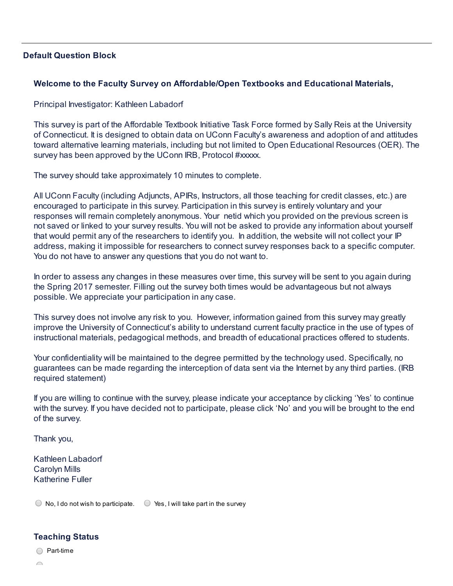### Default Question Block

### Welcome to the Faculty Survey on Affordable/Open Textbooks and Educational Materials,

### Principal Investigator: Kathleen Labadorf

This survey is part of the Affordable Textbook Initiative Task Force formed by Sally Reis at the University of Connecticut. It is designed to obtain data on UConn Faculty's awareness and adoption of and attitudes toward alternative learning materials, including but not limited to Open Educational Resources (OER). The survey has been approved by the UConn IRB, Protocol #xxxxx.

The survey should take approximately 10 minutes to complete.

All UConn Faculty (including Adjuncts, APIRs, Instructors, all those teaching for credit classes, etc.) are encouraged to participate in this survey. Participation in this survey is entirely voluntary and your responses will remain completely anonymous. Your netid which you provided on the previous screen is not saved or linked to your survey results. You will not be asked to provide any information about yourself that would permit any of the researchers to identify you. In addition, the website will not collect your IP address, making it impossible for researchers to connect survey responses back to a specific computer. You do not have to answer any questions that you do not want to.

In order to assess any changes in these measures over time, this survey will be sent to you again during the Spring 2017 semester. Filling out the survey both times would be advantageous but not always possible. We appreciate your participation in any case.

This survey does not involve any risk to you. However, information gained from this survey may greatly improve the University of Connecticut's ability to understand current faculty practice in the use of types of instructional materials, pedagogical methods, and breadth of educational practices offered to students.

Your confidentiality will be maintained to the degree permitted by the technology used. Specifically, no guarantees can be made regarding the interception of data sent via the Internet by any third parties. (IRB required statement)

If you are willing to continue with the survey, please indicate your acceptance by clicking 'Yes' to continue with the survey. If you have decided not to participate, please click 'No' and you will be brought to the end of the survey.

Thank you,

Kathleen Labadorf Carolyn Mills Katherine Fuller

 $\bigcirc$  No, I do not wish to participate.  $\bigcirc$  Yes, I will take part in the survey

## Teaching Status

 $\bigcirc$  Part-time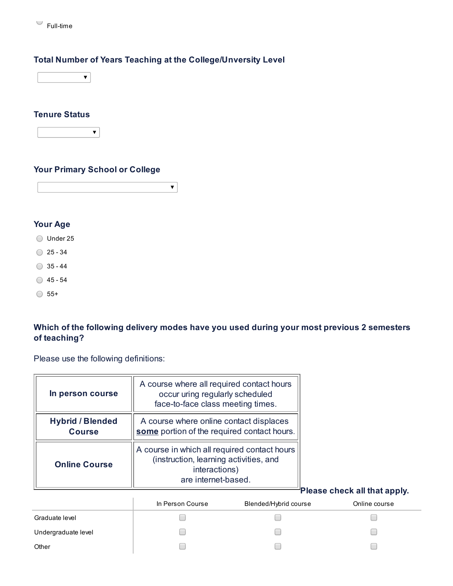

## Total Number of Years Teaching at the College/Unversity Level



## Tenure Status

|--|--|

## Your Primary School or College

 $\blacktriangledown$ 

## Your Age

O Under 25

- $\bigcirc$  25 34
- $\bigcirc$  35 44
- $\bigcirc$  45 54
- $\bigcirc$  55+

## Which of the following delivery modes have you used during your most previous 2 semesters of teaching?

Please use the following definitions:

| In person course                         | A course where all required contact hours<br>occur uring regularly scheduled<br>face-to-face class meeting times.              |                              |
|------------------------------------------|--------------------------------------------------------------------------------------------------------------------------------|------------------------------|
| <b>Hybrid / Blended</b><br><b>Course</b> | A course where online contact displaces<br>some portion of the required contact hours.                                         |                              |
| <b>Online Course</b>                     | A course in which all required contact hours<br>(instruction, learning activities, and<br>interactions)<br>are internet-based. |                              |
|                                          |                                                                                                                                | Please check all that apply. |

|                     | In Person Course | Blended/Hybrid course | Online course |
|---------------------|------------------|-----------------------|---------------|
| Graduate level      |                  |                       |               |
| Undergraduate level |                  |                       |               |
| Other               |                  |                       |               |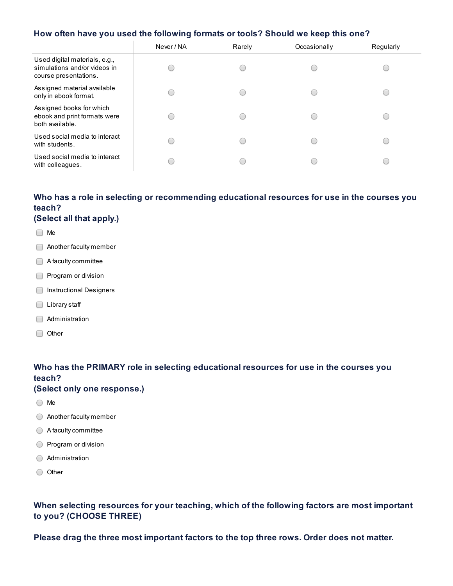### How often have you used the following formats or tools? Should we keep this one?

|                                                                                        | Never / NA | Rarely | Occasionally | Regularly |
|----------------------------------------------------------------------------------------|------------|--------|--------------|-----------|
| Used digital materials, e.g.,<br>simulations and/or videos in<br>course presentations. |            |        |              |           |
| Assigned material available<br>only in ebook format.                                   |            |        |              |           |
| Assigned books for which<br>ebook and print formats were<br>both available.            |            |        |              |           |
| Used social media to interact<br>with students.                                        |            |        |              |           |
| Used social media to interact<br>with colleagues.                                      |            |        |              |           |

# Who has a role in selecting or recommending educational resources for use in the courses you teach?

#### (Select all that apply.)

- □ Me
- **Another faculty member**
- A faculty committee
- Program or division
- **Instructional Designers**
- □ Library staff
- Administration
- Other

## Who has the PRIMARY role in selecting educational resources for use in the courses you teach?

#### (Select only one response.)

- ◯ Me
- Another faculty member
- A faculty committee
- **Program or division**
- Administration
- O Other

## When selecting resources for your teaching, which of the following factors are most important to you? (CHOOSE THREE)

Please drag the three most important factors to the top three rows. Order does not matter.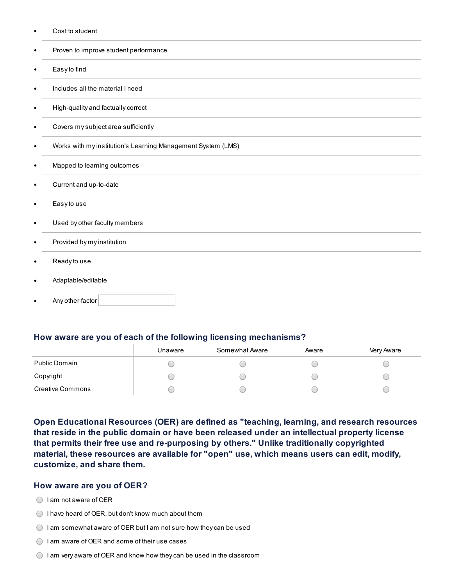Cost to student

|           | Proven to improve student performance                        |
|-----------|--------------------------------------------------------------|
| $\bullet$ | Easy to find                                                 |
| $\bullet$ | Includes all the material I need                             |
| ٠         | High-quality and factually correct                           |
| $\bullet$ | Covers my subject area sufficiently                          |
| $\bullet$ | Works with my institution's Learning Management System (LMS) |
| ٠         | Mapped to learning outcomes                                  |
| $\bullet$ | Current and up-to-date                                       |
| ٠         | Easy to use                                                  |
| ٠         | Used by other faculty members                                |
| ٠         | Provided by my institution                                   |
| ٠         | Ready to use                                                 |
|           | Adaptable/editable                                           |
|           | Any other factor                                             |

#### How aware are you of each of the following licensing mechanisms?

|                         | Unaware | Somewhat Aware | Aware | Very Aware |
|-------------------------|---------|----------------|-------|------------|
| Public Domain           |         |                |       |            |
| Copyright               |         |                |       |            |
| <b>Creative Commons</b> |         |                |       |            |

Open Educational Resources (OER) are defined as "teaching, learning, and research resources that reside in the public domain or have been released under an intellectual property license that permits their free use and re-purposing by others." Unlike traditionally copyrighted material, these resources are available for "open" use, which means users can edit, modify, customize, and share them.

#### How aware are you of OER?

- ◯ I am not aware of OER
- $\bigcirc$  I have heard of OER, but don't know much about them
- $\bigcirc$  I am somewhat aware of OER but I am not sure how they can be used
- $\bigcirc$  I am aware of OER and some of their use cases
- $\bigcirc$  I am very aware of OER and know how they can be used in the classroom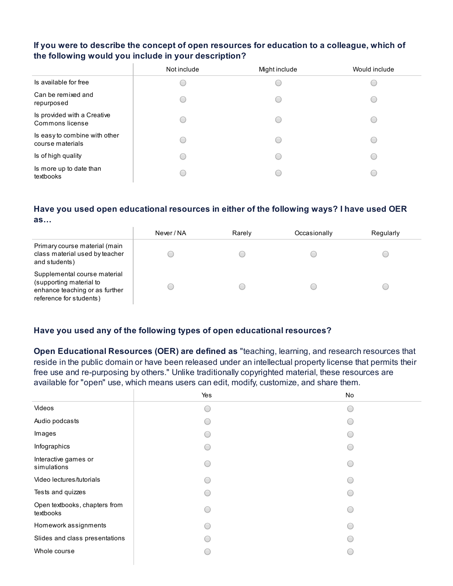### If you were to describe the concept of open resources for education to a colleague, which of the following would you include in your description?

|                                                   | Not include | Might include | Would include |
|---------------------------------------------------|-------------|---------------|---------------|
| Is available for free                             |             |               |               |
| Can be remixed and<br>repurposed                  |             |               |               |
| Is provided with a Creative<br>Commons license    |             |               |               |
| Is easy to combine with other<br>course materials |             |               |               |
| Is of high quality                                |             |               |               |
| Is more up to date than<br>textbooks              |             |               |               |

#### Have you used open educational resources in either of the following ways? I have used OER as…

|                                                                                                                      | Never / NA | Rarely | Occasionally | Regularly |
|----------------------------------------------------------------------------------------------------------------------|------------|--------|--------------|-----------|
| Primary course material (main<br>class material used by teacher<br>and students)                                     |            |        |              |           |
| Supplemental course material<br>(supporting material to<br>enhance teaching or as further<br>reference for students) |            |        |              |           |

## Have you used any of the following types of open educational resources?

Open Educational Resources (OER) are defined as "teaching, learning, and research resources that reside in the public domain or have been released under an intellectual property license that permits their free use and re-purposing by others." Unlike traditionally copyrighted material, these resources are available for "open" use, which means users can edit, modify, customize, and share them.

|                                            | Yes | No                                            |
|--------------------------------------------|-----|-----------------------------------------------|
| Videos                                     |     | O                                             |
| Audio podcasts                             |     |                                               |
| Images                                     |     |                                               |
| Infographics                               |     | С.                                            |
| Interactive games or<br>simulations        |     | O                                             |
| Video lectures/tutorials                   |     | $\overline{(\phantom{a})}$                    |
| Tests and quizzes                          |     | $\overline{(\cdot)}$                          |
| Open textbooks, chapters from<br>textbooks |     | O                                             |
| Homework assignments                       |     | $\overline{(\phantom{a})}$                    |
| Slides and class presentations             |     | $\left( \begin{array}{c} \end{array} \right)$ |
| Whole course                               |     | $\overline{\phantom{a}}$                      |
|                                            |     |                                               |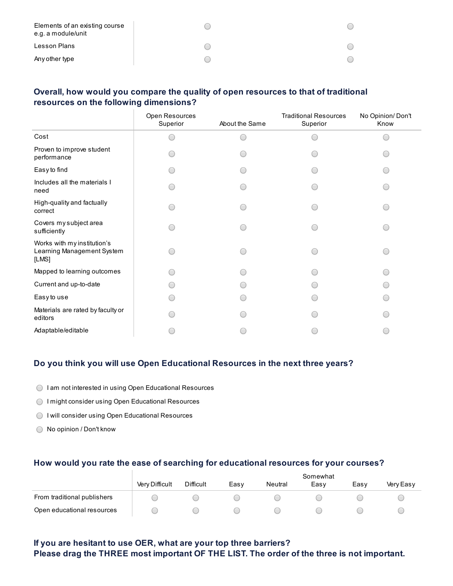| Elements of an existing course<br>e.g. a module/unit |  |
|------------------------------------------------------|--|
| Lesson Plans                                         |  |
| Any other type                                       |  |

## Overall, how would you compare the quality of open resources to that of traditional resources on the following dimensions?

|                                                                    | Open Resources<br>Superior | About the Same | <b>Traditional Resources</b><br>Superior | No Opinion/Don't<br>Know |
|--------------------------------------------------------------------|----------------------------|----------------|------------------------------------------|--------------------------|
| Cost                                                               |                            |                |                                          |                          |
| Proven to improve student<br>performance                           |                            |                |                                          |                          |
| Easy to find                                                       |                            |                |                                          |                          |
| Includes all the materials I<br>need                               |                            |                |                                          |                          |
| High-quality and factually<br>correct                              |                            |                |                                          |                          |
| Covers my subject area<br>sufficiently                             |                            |                |                                          |                          |
| Works with my institution's<br>Learning Management System<br>[LMS] |                            |                |                                          |                          |
| Mapped to learning outcomes                                        |                            |                |                                          |                          |
| Current and up-to-date                                             |                            |                |                                          |                          |
| Easy to use                                                        |                            |                |                                          |                          |
| Materials are rated by faculty or<br>editors                       |                            |                |                                          |                          |
| Adaptable/editable                                                 |                            |                |                                          |                          |

### Do you think you will use Open Educational Resources in the next three years?

- I am not interested in using Open Educational Resources
- I might consider using Open Educational Resources
- I will consider using Open Educational Resources
- ◯ No opinion / Don't know

### How would you rate the ease of searching for educational resources for your courses?

|                             | Somewhat       |                  |      |         |      |      |           |
|-----------------------------|----------------|------------------|------|---------|------|------|-----------|
|                             | Very Difficult | <b>Difficult</b> | Easv | Neutral | Easy | Easy | Very Easy |
| From traditional publishers |                |                  |      |         |      |      |           |
| Open educational resources  |                |                  |      |         |      |      |           |

## If you are hesitant to use OER, what are your top three barriers? Please drag the THREE most important OF THE LIST. The order of the three is not important.